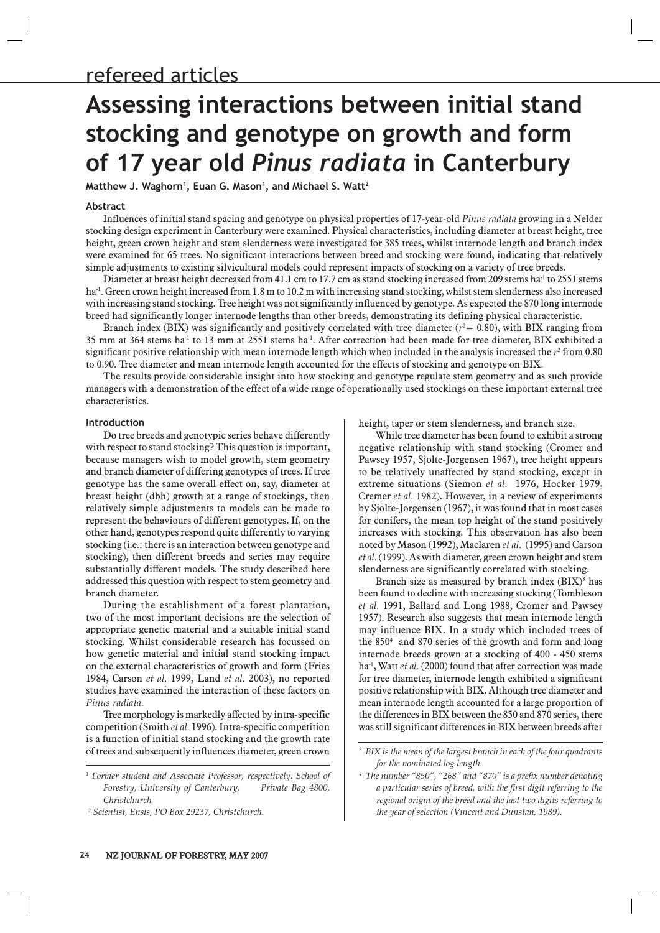# **Assessing interactions between initial stand stocking and genotype on growth and form**  Assessing interactions between initial stan<br>stocking and genotype on growth and form<br>of 17 year old *Pinus radiata* in Canterbury **stocking and genotype on gr<br>of 17 year old** *Pinus radiata***<br>matthew J. Waghorn', Euan G. Mason', and Michael S. Watt<sup>2</sup>**

#### **Abstract**

Influences of initial stand spacing and genotype on physical properties of 17-year-old *Pinus radiata* growing in a Nelder stocking design experiment in Canterbury were examined. Physical characteristics, including diameter at breast height, tree height, green crown height and stem slenderness were investigated for 385 trees, whilst internode length and branch index were examined for 65 trees. No significant interactions between breed and stocking were found, indicating that relatively simple adjustments to existing silvicultural models could represent impacts of stocking on a variety of tree breeds.

Diameter at breast height decreased from 41.1 cm to 17.7 cm as stand stocking increased from 209 stems ha<sup>-1</sup> to 2551 stems ha<sup>-1</sup>. Green crown height increased from 1.8 m to 10.2 m with increasing stand stocking, whilst stem slenderness also increased with increasing stand stocking. Tree height was not significantly influenced by genotype. As expected the 870 long internode breed had significantly longer internode lengths than other breeds, demonstrating its defining physical characteristic.

Branch index (BIX) was significantly and positively correlated with tree diameter ( $r^2$  = 0.80), with BIX ranging from 35 mm at 364 stems ha<sup>-1</sup> to 13 mm at 2551 stems ha<sup>-1</sup>. After correction had been made for tree diameter, BIX exhibited a significant positive relationship with mean internode length which when included in the analysis increased the  $r^2$  from  $0.80$ to 0.90. Tree diameter and mean internode length accounted for the effects of stocking and genotype on BIX.

The results provide considerable insight into how stocking and genotype regulate stem geometry and as such provide managers with a demonstration of the effect of a wide range of operationally used stockings on these important external tree characteristics.

#### **Introduction**

Do tree breeds and genotypic series behave differently with respect to stand stocking? This question is important, because managers wish to model growth, stem geometry and branch diameter of differing genotypes of trees. If tree genotype has the same overall effect on, say, diameter at breast height (dbh) growth at a range of stockings, then relatively simple adjustments to models can be made to represent the behaviours of different genotypes. If, on the other hand, genotypes respond quite differently to varying stocking (i.e.: there is an interaction between genotype and stocking), then different breeds and series may require substantially different models. The study described here addressed this question with respect to stem geometry and branch diameter.

During the establishment of a forest plantation, two of the most important decisions are the selection of appropriate genetic material and a suitable initial stand stocking. Whilst considerable research has focussed on how genetic material and initial stand stocking impact on the external characteristics of growth and form (Fries 1984, Carson *et al.* 1999, Land *et al.* 2003), no reported studies have examined the interaction of these factors on *Pinus radiata.* 

Tree morphology is markedly affected by intra-specific competition (Smith *et al.* 1996). Intra-specific competition is a function of initial stand stocking and the growth rate of trees and subsequently influences diameter, green crown

*2 Scientist, Ensis, PO Box 29237, Christchurch.*

height, taper or stem slenderness, and branch size. While tree diameter has been found to exhibit a strong

negative relationship with stand stocking (Cromer and Pawsey 1957, Sjolte-Jorgensen 1967), tree height appears to be relatively unaffected by stand stocking, except in extreme situations (Siemon *et al.* 1976, Hocker 1979, Cremer *et al.* 1982). However, in a review of experiments by Sjolte-Jorgensen (1967), it was found that in most cases for conifers, the mean top height of the stand positively increases with stocking. This observation has also been noted by Mason (1992), Maclaren *et al.* (1995) and Carson *et al.* (1999). As with diameter, green crown height and stem slenderness are significantly correlated with stocking.

Branch size as measured by branch index  $(BIX)^3$  has been found to decline with increasing stocking (Tombleson *et al.* 1991, Ballard and Long 1988, Cromer and Pawsey 1957). Research also suggests that mean internode length may influence BIX. In a study which included trees of the 8504 and 870 series of the growth and form and long internode breeds grown at a stocking of 400 - 450 stems ha<sup>-1</sup>, Watt *et al.* (2000) found that after correction was made for tree diameter, internode length exhibited a significant positive relationship with BIX. Although tree diameter and mean internode length accounted for a large proportion of the differences in BIX between the 850 and 870 series, there was still significant differences in BIX between breeds after

<sup>&</sup>lt;sup>1</sup> Former student and Associate Professor, respectively. School of *Forestry, University of Canterbury, Private Bag 4800, Christchurch*

*<sup>3</sup> BIX is the mean of the largest branch in each of the four quadrants for the nominated log length.*

*<sup>4</sup> The number "850", "268" and "870" is a prefix number denoting a particular series of breed, with the first digit referring to the regional origin of the breed and the last two digits referring to the year of selection (Vincent and Dunstan, 1989).*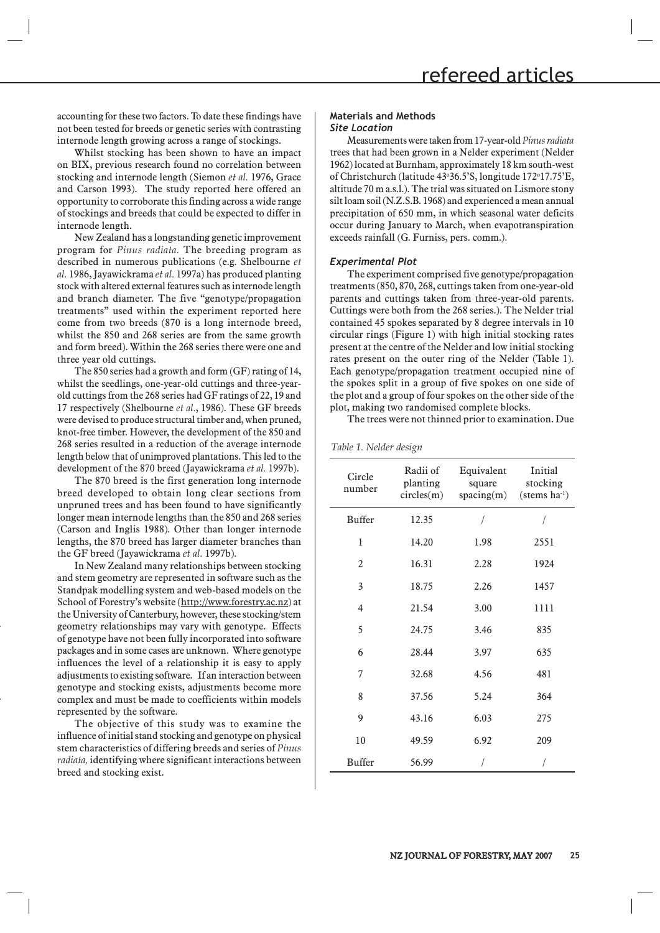accounting for these two factors. To date these findings have not been tested for breeds or genetic series with contrasting internode length growing across a range of stockings.

Whilst stocking has been shown to have an impact on BIX, previous research found no correlation between stocking and internode length (Siemon *et al.* 1976, Grace and Carson 1993). The study reported here offered an opportunity to corroborate this finding across a wide range of stockings and breeds that could be expected to differ in internode length.

New Zealand has a longstanding genetic improvement program for *Pinus radiata.* The breeding program as described in numerous publications (e.g. Shelbourne *et al.* 1986, Jayawickrama *et al.* 1997a) has produced planting stock with altered external features such as internode length and branch diameter. The five "genotype/propagation treatments" used within the experiment reported here come from two breeds (870 is a long internode breed, whilst the 850 and 268 series are from the same growth and form breed). Within the 268 series there were one and three year old cuttings.

The 850 series had a growth and form (GF) rating of 14, whilst the seedlings, one-year-old cuttings and three-yearold cuttings from the 268 series had GF ratings of 22, 19 and 17 respectively (Shelbourne *et al.*, 1986). These GF breeds were devised to produce structural timber and, when pruned, knot-free timber. However, the development of the 850 and 268 series resulted in a reduction of the average internode length below that of unimproved plantations. This led to the development of the 870 breed (Jayawickrama *et al.* 1997b).

The 870 breed is the first generation long internode breed developed to obtain long clear sections from unpruned trees and has been found to have significantly longer mean internode lengths than the 850 and 268 series (Carson and Inglis 1988). Other than longer internode lengths, the 870 breed has larger diameter branches than the GF breed (Jayawickrama *et al.* 1997b).

In New Zealand many relationships between stocking and stem geometry are represented in software such as the Standpak modelling system and web-based models on the School of Forestry's website (http://www.forestry.ac.nz) at the University of Canterbury, however, these stocking/stem geometry relationships may vary with genotype. Effects of genotype have not been fully incorporated into software packages and in some cases are unknown. Where genotype influences the level of a relationship it is easy to apply adjustments to existing software. If an interaction between genotype and stocking exists, adjustments become more complex and must be made to coefficients within models represented by the software.

The objective of this study was to examine the influence of initial stand stocking and genotype on physical stem characteristics of differing breeds and series of *Pinus radiata,* identifying where significant interactions between breed and stocking exist.

# **Materials and Methods** *Site Location*

Measurements were taken from 17-year-old *Pinus radiata* trees that had been grown in a Nelder experiment (Nelder 1962) located at Burnham, approximately 18 km south-west of Christchurch (latitude 43°36.5'S, longitude 172°17.75'E, altitude 70 m a.s.l.). The trial was situated on Lismore stony silt loam soil (N.Z.S.B. 1968) and experienced a mean annual precipitation of 650 mm, in which seasonal water deficits occur during January to March, when evapotranspiration exceeds rainfall (G. Furniss, pers. comm.).

## *Experimental Plot*

The experiment comprised five genotype/propagation treatments (850, 870, 268, cuttings taken from one-year-old parents and cuttings taken from three-year-old parents. Cuttings were both from the 268 series.). The Nelder trial contained 45 spokes separated by 8 degree intervals in 10 circular rings (Figure 1) with high initial stocking rates present at the centre of the Nelder and low initial stocking rates present on the outer ring of the Nelder (Table 1). Each genotype/propagation treatment occupied nine of the spokes split in a group of five spokes on one side of the plot and a group of four spokes on the other side of the plot, making two randomised complete blocks.

The trees were not thinned prior to examination. Due

#### *Table 1. Nelder design*

| Circle<br>number | Radii of<br>planting<br>circles(m) | Equivalent<br>square<br>spacing(m) | Initial<br>stocking<br>$(\text{stems ha}^{-1})$ |
|------------------|------------------------------------|------------------------------------|-------------------------------------------------|
| Buffer           | 12.35                              | 1                                  | 1                                               |
| 1                | 14.20                              | 1.98                               | 2551                                            |
| 2                | 16.31                              | 2.28                               | 1924                                            |
| 3                | 18.75                              | 2.26                               | 1457                                            |
| 4                | 21.54                              | 3.00                               | 1111                                            |
| 5                | 24.75                              | 3.46                               | 835                                             |
| 6                | 28.44                              | 3.97                               | 635                                             |
| 7                | 32.68                              | 4.56                               | 481                                             |
| 8                | 37.56                              | 5.24                               | 364                                             |
| 9                | 43.16                              | 6.03                               | 275                                             |
| 10               | 49.59                              | 6.92                               | 209                                             |
| Buffer           | 56.99                              |                                    |                                                 |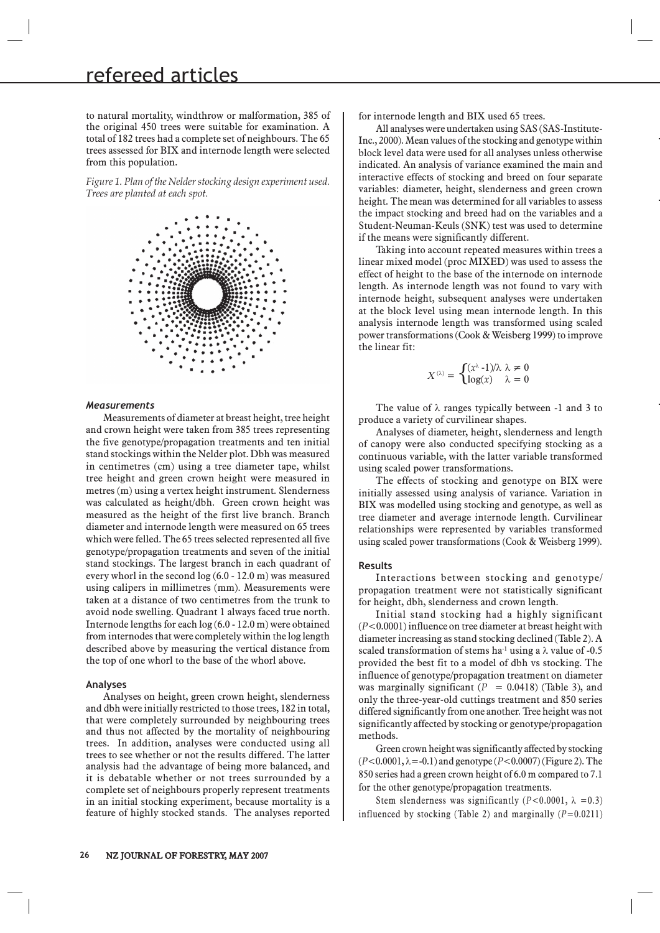# refereed articles

to natural mortality, windthrow or malformation, 385 of the original 450 trees were suitable for examination. A total of 182 trees had a complete set of neighbours. The 65 trees assessed for BIX and internode length were selected from this population.

*Figure 1. Plan of the Nelder stocking design experiment used. Trees are planted at each spot.*



## *Measurements*

Measurements of diameter at breast height, tree height and crown height were taken from 385 trees representing the five genotype/propagation treatments and ten initial stand stockings within the Nelder plot. Dbh was measured in centimetres (cm) using a tree diameter tape, whilst tree height and green crown height were measured in metres (m) using a vertex height instrument. Slenderness was calculated as height/dbh. Green crown height was measured as the height of the first live branch. Branch diameter and internode length were measured on 65 trees which were felled. The 65 trees selected represented all five genotype/propagation treatments and seven of the initial stand stockings. The largest branch in each quadrant of every whorl in the second log (6.0 - 12.0 m) was measured using calipers in millimetres (mm). Measurements were taken at a distance of two centimetres from the trunk to avoid node swelling. Quadrant 1 always faced true north. Internode lengths for each log (6.0 - 12.0 m) were obtained from internodes that were completely within the log length described above by measuring the vertical distance from the top of one whorl to the base of the whorl above.

#### **Analyses**

Analyses on height, green crown height, slenderness and dbh were initially restricted to those trees, 182 in total, that were completely surrounded by neighbouring trees and thus not affected by the mortality of neighbouring trees. In addition, analyses were conducted using all trees to see whether or not the results differed. The latter analysis had the advantage of being more balanced, and it is debatable whether or not trees surrounded by a complete set of neighbours properly represent treatments in an initial stocking experiment, because mortality is a feature of highly stocked stands. The analyses reported for internode length and BIX used 65 trees.

All analyses were undertaken using SAS (SAS-Institute-Inc., 2000). Mean values of the stocking and genotype within block level data were used for all analyses unless otherwise indicated. An analysis of variance examined the main and interactive effects of stocking and breed on four separate variables: diameter, height, slenderness and green crown height. The mean was determined for all variables to assess the impact stocking and breed had on the variables and a Student-Neuman-Keuls (SNK) test was used to determine if the means were significantly different.

Taking into account repeated measures within trees a linear mixed model (proc MIXED) was used to assess the effect of height to the base of the internode on internode length. As internode length was not found to vary with internode height, subsequent analyses were undertaken at the block level using mean internode length. In this analysis internode length was transformed using scaled power transformations (Cook & Weisberg 1999) to improve the linear fit:

$$
X^{(\lambda)} = \begin{cases} (x^\lambda - 1)/\lambda \ \lambda \neq 0 \\ \log(x) \quad \lambda = 0 \end{cases}
$$

The value of  $\lambda$  ranges typically between -1 and 3 to produce a variety of curvilinear shapes.

Analyses of diameter, height, slenderness and length of canopy were also conducted specifying stocking as a continuous variable, with the latter variable transformed using scaled power transformations.

The effects of stocking and genotype on BIX were initially assessed using analysis of variance. Variation in BIX was modelled using stocking and genotype, as well as tree diameter and average internode length. Curvilinear relationships were represented by variables transformed using scaled power transformations (Cook & Weisberg 1999).

#### **Results**

Interactions between stocking and genotype/ propagation treatment were not statistically significant for height, dbh, slenderness and crown length.

Initial stand stocking had a highly significant (*Ρ*<0.0001) influence on tree diameter at breast height with diameter increasing as stand stocking declined (Table 2). A scaled transformation of stems ha<sup>1</sup> using a  $\lambda$  value of -0.5 provided the best fit to a model of dbh vs stocking. The influence of genotype/propagation treatment on diameter was marginally significant (*Ρ* = 0.0418) (Table 3), and only the three-year-old cuttings treatment and 850 series differed significantly from one another. Tree height was not significantly affected by stocking or genotype/propagation methods.

Green crown height was significantly affected by stocking (*Ρ*<0.0001, λ=-0.1) and genotype (*Ρ*<0.0007) (Figure 2). The 850 series had a green crown height of 6.0 m compared to 7.1 for the other genotype/propagation treatments.

Stem slenderness was significantly  $(P<0.0001, \lambda = 0.3)$ influenced by stocking (Table 2) and marginally (*Ρ*=0.0211)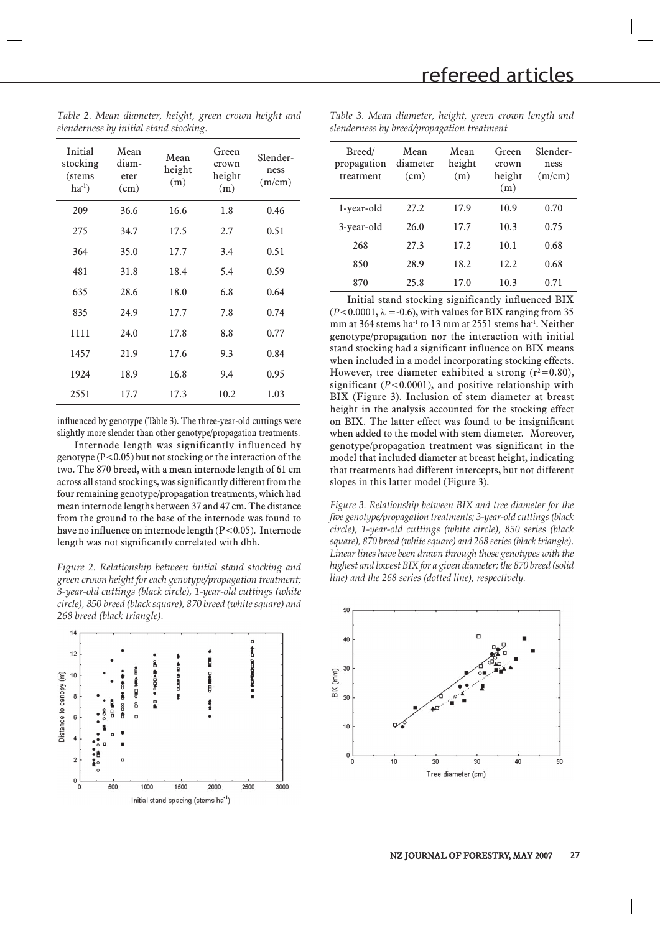Green crown height (m)

Slenderness  $(m/cm)$ 

| Initial<br>stocking<br>(stems<br>$ha^{-1}$ ) | Mean<br>diam-<br>eter<br>(cm) | Mean<br>height<br>(m) | Green<br>crown<br>height<br>(m) | Slender-<br>ness<br>(m/cm) |
|----------------------------------------------|-------------------------------|-----------------------|---------------------------------|----------------------------|
| 209                                          | 36.6                          | 16.6                  | 1.8                             | 0.46                       |
| 275                                          | 34.7                          | 17.5                  | 2.7                             | 0.51                       |
| 364                                          | 35.0                          | 17.7                  | 3.4                             | 0.51                       |
| 481                                          | 31.8                          | 18.4                  | 5.4                             | 0.59                       |
| 635                                          | 28.6                          | 18.0                  | 6.8                             | 0.64                       |
| 835                                          | 24.9                          | 17.7                  | 7.8                             | 0.74                       |
| 1111                                         | 24.0                          | 17.8                  | 8.8                             | 0.77                       |
| 1457                                         | 21.9                          | 17.6                  | 9.3                             | 0.84                       |
| 1924                                         | 18.9                          | 16.8                  | 9.4                             | 0.95                       |
| 2551                                         | 17.7                          | 17.3                  | 10.2                            | 1.03                       |

*Table 2. Mean diameter, height, green crown height and slenderness by initial stand stocking.*

*Table 3. Mean diameter, height, green crown length and slenderness by breed/propagation treatment*

1-year-old 27.2 17.9 10.9 0.70 3-year-old 26.0 17.7 10.3 0.75

Mean height (m)

Mean diameter (cm)

Breed/ propagation treatment

| 268                                                                                                                                                                                                                                                                                                                                                                                                                                                                                                                                                                                                                                                                                                                                                                                                                                                                                                                                                      | 27.3 | 17.2 | 10.1 | 0.68 |  |  |  |  |
|----------------------------------------------------------------------------------------------------------------------------------------------------------------------------------------------------------------------------------------------------------------------------------------------------------------------------------------------------------------------------------------------------------------------------------------------------------------------------------------------------------------------------------------------------------------------------------------------------------------------------------------------------------------------------------------------------------------------------------------------------------------------------------------------------------------------------------------------------------------------------------------------------------------------------------------------------------|------|------|------|------|--|--|--|--|
| 850                                                                                                                                                                                                                                                                                                                                                                                                                                                                                                                                                                                                                                                                                                                                                                                                                                                                                                                                                      | 28.9 | 18.2 | 12.2 | 0.68 |  |  |  |  |
| 870                                                                                                                                                                                                                                                                                                                                                                                                                                                                                                                                                                                                                                                                                                                                                                                                                                                                                                                                                      | 25.8 | 17.0 | 10.3 | 0.71 |  |  |  |  |
| Initial stand stocking significantly influenced BIX<br>$(P<0.0001, \lambda = -0.6)$ , with values for BIX ranging from 35<br>mm at 364 stems ha <sup>-1</sup> to 13 mm at 2551 stems ha <sup>-1</sup> . Neither<br>genotype/propagation nor the interaction with initial<br>stand stocking had a significant influence on BIX means<br>when included in a model incorporating stocking effects.<br>However, tree diameter exhibited a strong $(r^2=0.80)$ ,<br>significant ( $P < 0.0001$ ), and positive relationship with<br>BIX (Figure 3). Inclusion of stem diameter at breast<br>height in the analysis accounted for the stocking effect<br>on BIX. The latter effect was found to be insignificant<br>when added to the model with stem diameter. Moreover,<br>genotype/propagation treatment was significant in the<br>model that included diameter at breast height, indicating<br>that treatments had different intercepts, but not different |      |      |      |      |  |  |  |  |

*Figure 3. Relationship between BIX and tree diameter for the five genotype/propagation treatments; 3-year-old cuttings (black circle), 1-year-old cuttings (white circle), 850 series (black square), 870 breed (white square) and 268 series (black triangle). Linear lines have been drawn through those genotypes with the highest and lowest BIX for a given diameter; the 870 breed (solid line) and the 268 series (dotted line), respectively.*



influenced by genotype (Table 3). The three-year-old cuttings were slightly more slender than other genotype/propagation treatments.

Internode length was significantly influenced by genotype (Ρ<0.05) but not stocking or the interaction of the two. The 870 breed, with a mean internode length of 61 cm across all stand stockings, was significantly different from the four remaining genotype/propagation treatments, which had mean internode lengths between 37 and 47 cm. The distance from the ground to the base of the internode was found to have no influence on internode length (P<0.05). Internode length was not significantly correlated with dbh.

*Figure 2. Relationship between initial stand stocking and green crown height for each genotype/propagation treatment; 3-year-old cuttings (black circle), 1-year-old cuttings (white circle), 850 breed (black square), 870 breed (white square) and 268 breed (black triangle).*

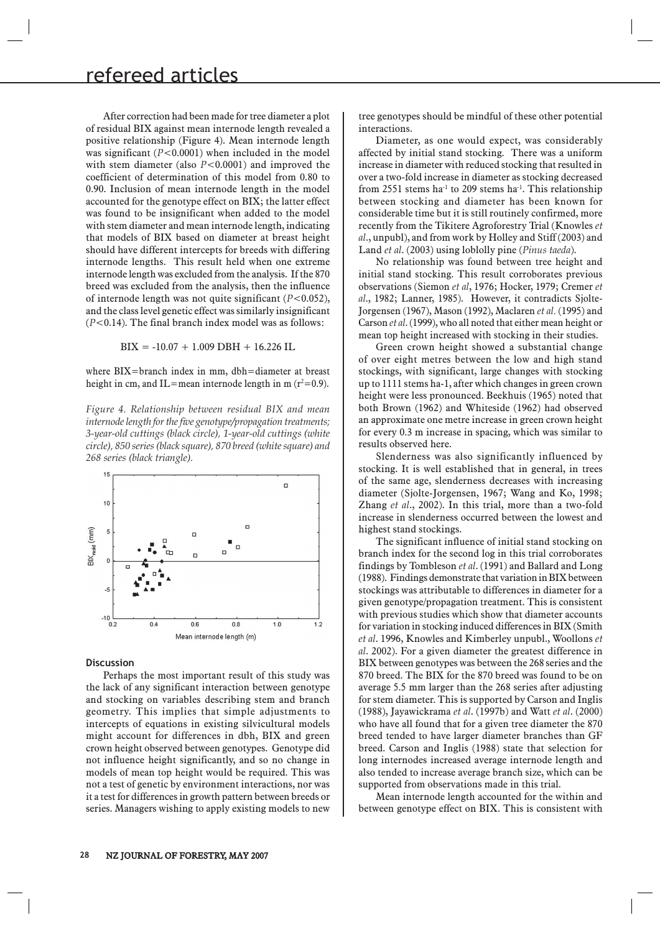After correction had been made for tree diameter a plot of residual BIX against mean internode length revealed a positive relationship (Figure 4). Mean internode length was significant (*Ρ*<0.0001) when included in the model with stem diameter (also *Ρ*<0.0001) and improved the coefficient of determination of this model from 0.80 to 0.90. Inclusion of mean internode length in the model accounted for the genotype effect on BIX; the latter effect was found to be insignificant when added to the model with stem diameter and mean internode length, indicating that models of BIX based on diameter at breast height should have different intercepts for breeds with differing internode lengths. This result held when one extreme internode length was excluded from the analysis. If the 870 breed was excluded from the analysis, then the influence of internode length was not quite significant (*Ρ*<0.052), and the class level genetic effect was similarly insignificant (*Ρ*<0.14). The final branch index model was as follows:

 $BIX = -10.07 + 1.009 DBH + 16.226 IL$ 

where BIX=branch index in mm, dbh=diameter at breast height in cm, and IL=mean internode length in m  $(r^2=0.9)$ .

*Figure 4. Relationship between residual BIX and mean internode length for the five genotype/propagation treatments; 3-year-old cuttings (black circle), 1-year-old cuttings (white circle), 850 series (black square), 870 breed (white square) and 268 series (black triangle).*



## **Discussion**

Perhaps the most important result of this study was the lack of any significant interaction between genotype and stocking on variables describing stem and branch geometry. This implies that simple adjustments to intercepts of equations in existing silvicultural models might account for differences in dbh, BIX and green crown height observed between genotypes. Genotype did not influence height significantly, and so no change in models of mean top height would be required. This was not a test of genetic by environment interactions, nor was it a test for differences in growth pattern between breeds or series. Managers wishing to apply existing models to new tree genotypes should be mindful of these other potential interactions.

Diameter, as one would expect, was considerably affected by initial stand stocking. There was a uniform increase in diameter with reduced stocking that resulted in over a two-fold increase in diameter as stocking decreased from 2551 stems ha<sup>-1</sup> to 209 stems ha<sup>-1</sup>. This relationship between stocking and diameter has been known for considerable time but it is still routinely confirmed, more recently from the Tikitere Agroforestry Trial (Knowles *et al*., unpubl), and from work by Holley and Stiff (2003) and Land *et al*. (2003) using loblolly pine (*Pinus taeda*).

No relationship was found between tree height and initial stand stocking. This result corroborates previous observations (Siemon *et al*, 1976; Hocker, 1979; Cremer *et al*., 1982; Lanner, 1985). However, it contradicts Sjolte-Jorgensen (1967), Mason (1992), Maclaren *et al.* (1995) and Carson *et al*. (1999), who all noted that either mean height or mean top height increased with stocking in their studies.

Green crown height showed a substantial change of over eight metres between the low and high stand stockings, with significant, large changes with stocking up to 1111 stems ha-1, after which changes in green crown height were less pronounced. Beekhuis (1965) noted that both Brown (1962) and Whiteside (1962) had observed an approximate one metre increase in green crown height for every 0.3 m increase in spacing, which was similar to results observed here.

Slenderness was also significantly influenced by stocking. It is well established that in general, in trees of the same age, slenderness decreases with increasing diameter (Sjolte-Jorgensen, 1967; Wang and Ko, 1998; Zhang *et al*., 2002). In this trial, more than a two-fold increase in slenderness occurred between the lowest and highest stand stockings.

The significant influence of initial stand stocking on branch index for the second log in this trial corroborates findings by Tombleson *et al*. (1991) and Ballard and Long (1988). Findings demonstrate that variation in BIX between stockings was attributable to differences in diameter for a given genotype/propagation treatment. This is consistent with previous studies which show that diameter accounts for variation in stocking induced differences in BIX (Smith *et al*. 1996, Knowles and Kimberley unpubl., Woollons *et al*. 2002). For a given diameter the greatest difference in BIX between genotypes was between the 268 series and the 870 breed. The BIX for the 870 breed was found to be on average 5.5 mm larger than the 268 series after adjusting for stem diameter. This is supported by Carson and Inglis (1988), Jayawickrama *et al*. (1997b) and Watt *et al*. (2000) who have all found that for a given tree diameter the 870 breed tended to have larger diameter branches than GF breed. Carson and Inglis (1988) state that selection for long internodes increased average internode length and also tended to increase average branch size, which can be supported from observations made in this trial.

Mean internode length accounted for the within and between genotype effect on BIX. This is consistent with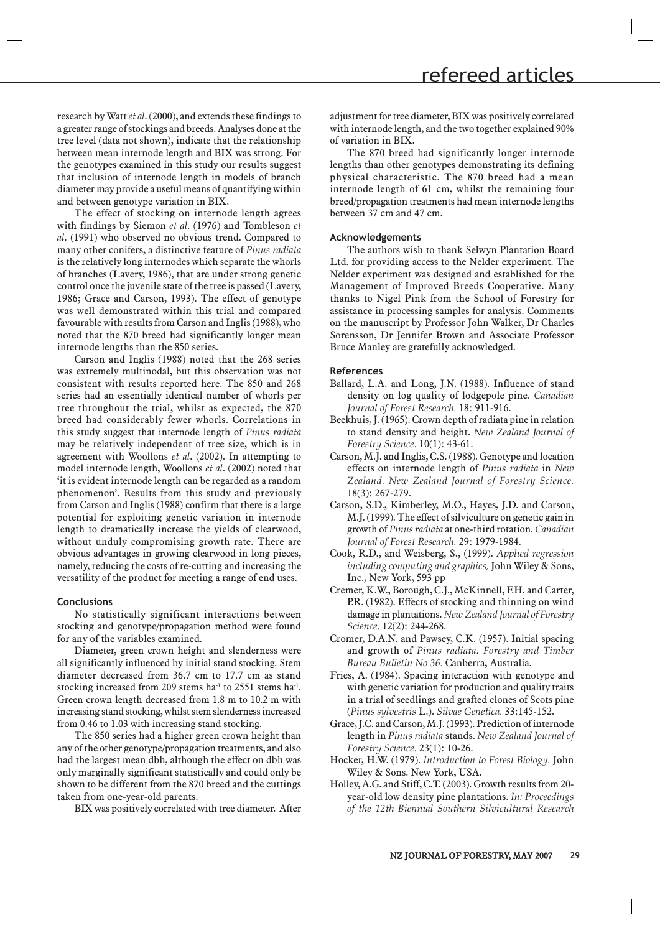research by Watt *et al*. (2000), and extends these findings to a greater range of stockings and breeds. Analyses done at the tree level (data not shown), indicate that the relationship between mean internode length and BIX was strong. For the genotypes examined in this study our results suggest that inclusion of internode length in models of branch diameter may provide a useful means of quantifying within and between genotype variation in BIX.

The effect of stocking on internode length agrees with findings by Siemon *et al*. (1976) and Tombleson *et al*. (1991) who observed no obvious trend. Compared to many other conifers, a distinctive feature of *Pinus radiata*  is the relatively long internodes which separate the whorls of branches (Lavery, 1986), that are under strong genetic control once the juvenile state of the tree is passed (Lavery, 1986; Grace and Carson, 1993). The effect of genotype was well demonstrated within this trial and compared favourable with results from Carson and Inglis (1988), who noted that the 870 breed had significantly longer mean internode lengths than the 850 series.

Carson and Inglis (1988) noted that the 268 series was extremely multinodal, but this observation was not consistent with results reported here. The 850 and 268 series had an essentially identical number of whorls per tree throughout the trial, whilst as expected, the 870 breed had considerably fewer whorls. Correlations in this study suggest that internode length of *Pinus radiata* may be relatively independent of tree size, which is in agreement with Woollons *et al*. (2002). In attempting to model internode length, Woollons *et al*. (2002) noted that 'it is evident internode length can be regarded as a random phenomenon'. Results from this study and previously from Carson and Inglis (1988) confirm that there is a large potential for exploiting genetic variation in internode length to dramatically increase the yields of clearwood, without unduly compromising growth rate. There are obvious advantages in growing clearwood in long pieces, namely, reducing the costs of re-cutting and increasing the versatility of the product for meeting a range of end uses.

### **Conclusions**

No statistically significant interactions between stocking and genotype/propagation method were found for any of the variables examined.

Diameter, green crown height and slenderness were all significantly influenced by initial stand stocking. Stem diameter decreased from 36.7 cm to 17.7 cm as stand stocking increased from 209 stems ha<sup>-1</sup> to 2551 stems ha<sup>-1</sup>. Green crown length decreased from 1.8 m to 10.2 m with increasing stand stocking, whilst stem slenderness increased from 0.46 to 1.03 with increasing stand stocking.

The 850 series had a higher green crown height than any of the other genotype/propagation treatments, and also had the largest mean dbh, although the effect on dbh was only marginally significant statistically and could only be shown to be different from the 870 breed and the cuttings taken from one-year-old parents.

BIX was positively correlated with tree diameter. After

adjustment for tree diameter, BIX was positively correlated with internode length, and the two together explained 90% of variation in BIX.

The 870 breed had significantly longer internode lengths than other genotypes demonstrating its defining physical characteristic. The 870 breed had a mean internode length of 61 cm, whilst the remaining four breed/propagation treatments had mean internode lengths between 37 cm and 47 cm.

#### **Acknowledgements**

The authors wish to thank Selwyn Plantation Board Ltd. for providing access to the Nelder experiment. The Nelder experiment was designed and established for the Management of Improved Breeds Cooperative. Many thanks to Nigel Pink from the School of Forestry for assistance in processing samples for analysis. Comments on the manuscript by Professor John Walker, Dr Charles Sorensson, Dr Jennifer Brown and Associate Professor Bruce Manley are gratefully acknowledged.

#### **References**

- Ballard, L.A. and Long, J.N. (1988). Influence of stand density on log quality of lodgepole pine. *Canadian Journal of Forest Research.* 18: 911-916.
- Beekhuis, J. (1965). Crown depth of radiata pine in relation to stand density and height. *New Zealand Journal of Forestry Science.* 10(1): 43-61.
- Carson, M.J. and Inglis, C.S. (1988). Genotype and location effects on internode length of *Pinus radiata* in *New Zealand. New Zealand Journal of Forestry Science.*  18(3): 267-279.
- Carson, S.D., Kimberley, M.O., Hayes, J.D. and Carson, M.J. (1999). The effect of silviculture on genetic gain in growth of *Pinus radiata* at one-third rotation. *Canadian Journal of Forest Research.* 29: 1979-1984.
- Cook, R.D., and Weisberg, S., (1999). *Applied regression including computing and graphics,* John Wiley & Sons, Inc., New York, 593 pp
- Cremer, K.W., Borough, C.J., McKinnell, F.H. and Carter, P.R. (1982). Effects of stocking and thinning on wind damage in plantations. *New Zealand Journal of Forestry Science.* 12(2): 244-268.
- Cromer, D.A.N. and Pawsey, C.K. (1957). Initial spacing and growth of *Pinus radiata. Forestry and Timber Bureau Bulletin No 36.* Canberra, Australia.
- Fries, A. (1984). Spacing interaction with genotype and with genetic variation for production and quality traits in a trial of seedlings and grafted clones of Scots pine (*Pinus sylvestris* L.). *Silvae Genetica.* 33:145-152.
- Grace, J.C. and Carson, M.J. (1993). Prediction of internode length in *Pinus radiata* stands. *New Zealand Journal of Forestry Science.* 23(1): 10-26.
- Hocker, H.W. (1979). *Introduction to Forest Biology.* John Wiley & Sons. New York, USA.
- Holley, A.G. and Stiff, C.T. (2003). Growth results from 20 year-old low density pine plantations. *In: Proceedings of the 12th Biennial Southern Silvicultural Research*